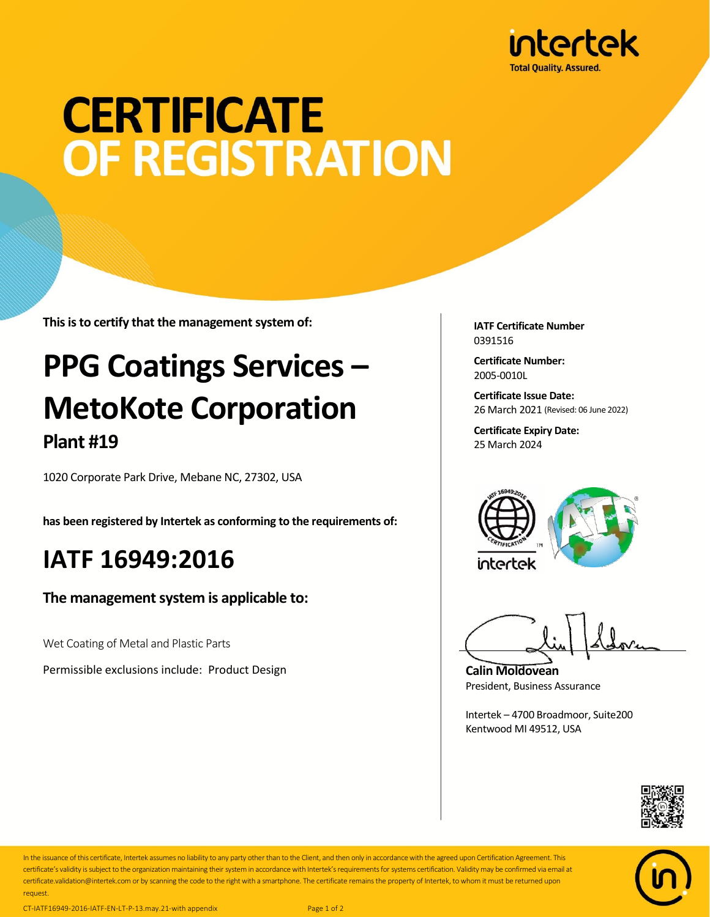

# **CERTIFICATE OF REGISTRATION**

**This is to certify that the management system of:**

## **PPG Coatings Services – MetoKote Corporation Plant #19**

1020 Corporate Park Drive, Mebane NC, 27302, USA

**has been registered by Intertek as conforming to the requirements of:**

### **IATF 16949:2016**

**The management system is applicable to:**

Wet Coating of Metal and Plastic Parts

Permissible exclusions include: Product Design

**IATF Certificate Number** 0391516

**Certificate Number:** 2005-0010L

**Certificate Issue Date:** 26 March 2021 (Revised: 06 June 2022)

**Certificate Expiry Date:** 25 March 2024



**Calin Moldovean** President, Business Assurance

Intertek – 4700 Broadmoor, Suite200 Kentwood MI 49512, USA





In the issuance of this certificate, Intertek assumes no liability to any party other than to the Client, and then only in accordance with the agreed upon Certification Agreement. This certificate's validity is subject to the organization maintaining their system in accordance with Intertek's requirements for systems certification. Validity may be confirmed via email at certificate.validation@intertek.com or by scanning the code to the right with a smartphone. The certificate remains the property of Intertek, to whom it must be returned upon request.